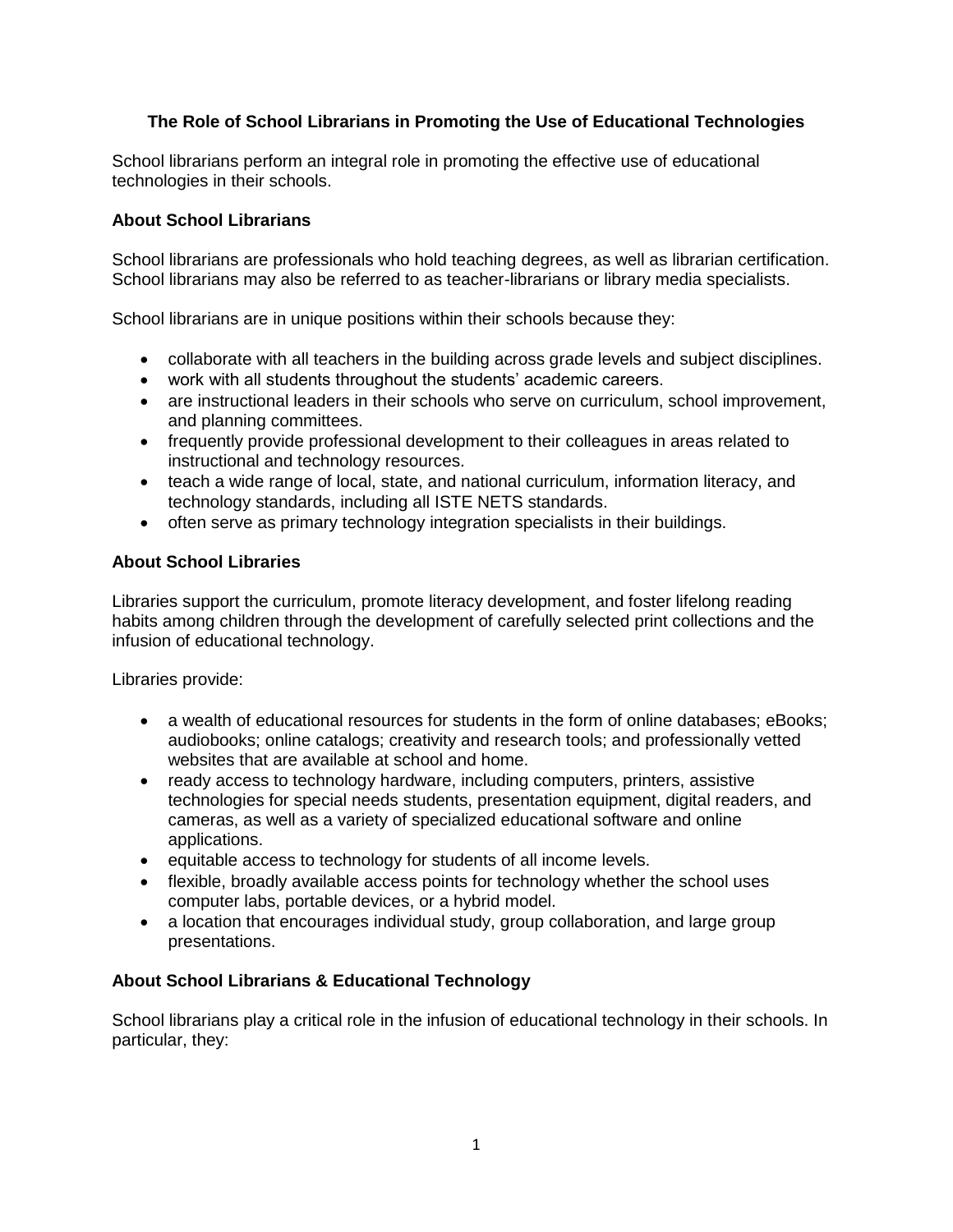# **The Role of School Librarians in Promoting the Use of Educational Technologies**

School librarians perform an integral role in promoting the effective use of educational technologies in their schools.

## **About School Librarians**

School librarians are professionals who hold teaching degrees, as well as librarian certification. School librarians may also be referred to as teacher-librarians or library media specialists.

School librarians are in unique positions within their schools because they:

- collaborate with all teachers in the building across grade levels and subject disciplines.
- work with all students throughout the students' academic careers.
- are instructional leaders in their schools who serve on curriculum, school improvement, and planning committees.
- frequently provide professional development to their colleagues in areas related to instructional and technology resources.
- teach a wide range of local, state, and national curriculum, information literacy, and technology standards, including all ISTE NETS standards.
- often serve as primary technology integration specialists in their buildings.

## **About School Libraries**

Libraries support the curriculum, promote literacy development, and foster lifelong reading habits among children through the development of carefully selected print collections and the infusion of educational technology.

Libraries provide:

- a wealth of educational resources for students in the form of online databases; eBooks; audiobooks; online catalogs; creativity and research tools; and professionally vetted websites that are available at school and home.
- ready access to technology hardware, including computers, printers, assistive technologies for special needs students, presentation equipment, digital readers, and cameras, as well as a variety of specialized educational software and online applications.
- equitable access to technology for students of all income levels.
- flexible, broadly available access points for technology whether the school uses computer labs, portable devices, or a hybrid model.
- a location that encourages individual study, group collaboration, and large group presentations.

## **About School Librarians & Educational Technology**

School librarians play a critical role in the infusion of educational technology in their schools. In particular, they: